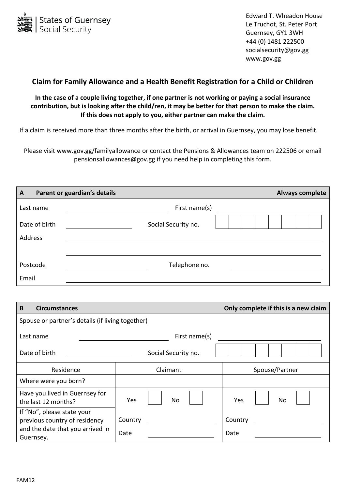

Edward T. Wheadon House Le Truchot, St. Peter Port Guernsey, GY1 3WH +44 (0) 1481 222500 socialsecurity@gov.gg www.gov.gg

## **Claim for Family Allowance and a Health Benefit Registration for a Child or Children**

## **In the case of a couple living together, if one partner is not working or paying a social insurance contribution, but is looking after the child/ren, it may be better for that person to make the claim. If this does not apply to you, either partner can make the claim.**

If a claim is received more than three months after the birth, or arrival in Guernsey, you may lose benefit.

Please visit www.gov.gg/familyallowance or contact the Pensions & Allowances team on 222506 or email pensionsallowances@gov.gg if you need help in completing this form.

| $\overline{A}$           | Parent or guardian's details | Always complete |
|--------------------------|------------------------------|-----------------|
| Last name                | First name(s)                |                 |
| Date of birth<br>Address | Social Security no.          |                 |
| Postcode<br>Email        | Telephone no.                |                 |

| <b>Circumstances</b><br>B                                                                                    |                     | Only complete if this is a new claim |  |  |  |
|--------------------------------------------------------------------------------------------------------------|---------------------|--------------------------------------|--|--|--|
| Spouse or partner's details (if living together)                                                             |                     |                                      |  |  |  |
| Last name                                                                                                    | First name(s)       |                                      |  |  |  |
| Date of birth                                                                                                | Social Security no. |                                      |  |  |  |
| Residence                                                                                                    | Claimant            | Spouse/Partner                       |  |  |  |
| Where were you born?                                                                                         |                     |                                      |  |  |  |
| Have you lived in Guernsey for<br>the last 12 months?                                                        | Yes<br>No           | Yes<br>No                            |  |  |  |
| If "No", please state your<br>previous country of residency<br>and the date that you arrived in<br>Guernsey. | Country<br>Date     | Country<br>Date                      |  |  |  |